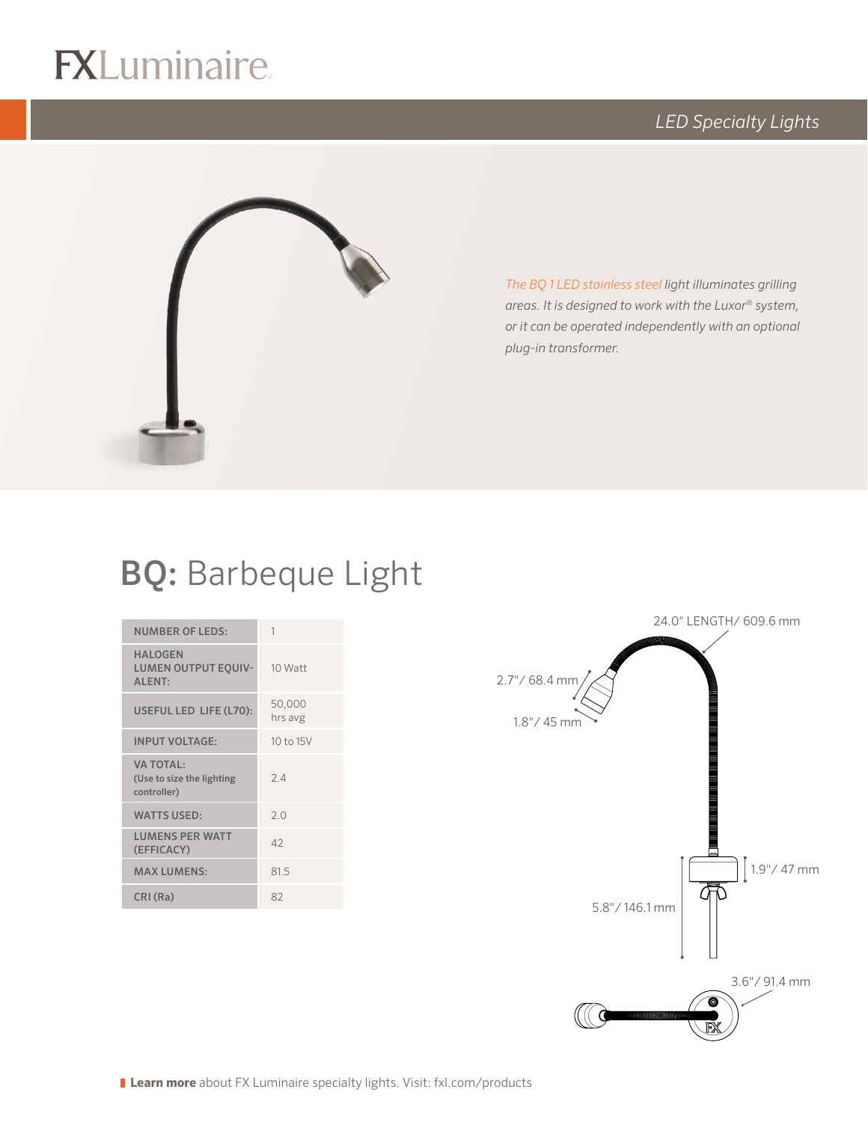## $R$

### *LED Specialty Lights*



logo (4-color CMYK)

*The BQ 1 LED stainless steel light illuminates grilling areas. It is designed to work with the Luxor*® *system, or it can be operated independently with an optional plug-in transformer.*

## BQ: Barbeque Light

| <b>NUMBER OF LEDS:</b>                                       | 1                 |
|--------------------------------------------------------------|-------------------|
| <b>HALOGEN</b><br><b>LUMEN OUTPUT EQUIV-</b><br>ALENT:       | 10 Watt           |
| USEFUL LED LIFE (L70):                                       | 50,000<br>hrs avg |
| <b>INPUT VOLTAGE:</b>                                        | 10 to 15V         |
| <b>VA TOTAL:</b><br>(Use to size the lighting<br>controller) | 24                |
| <b>WATTS USED:</b>                                           | 20                |
| <b>LUMENS PER WATT</b><br>(EFFICACY)                         | 42                |
| <b>MAX LUMENS:</b>                                           | 81.5              |
| CRI (Ra)                                                     | 82                |